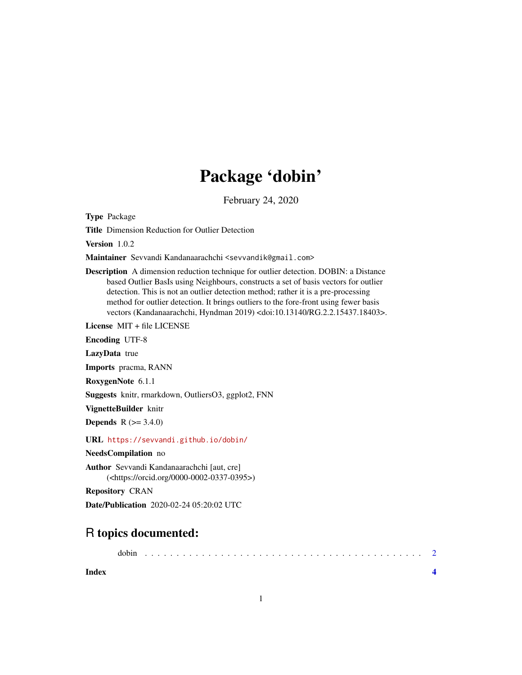## Package 'dobin'

February 24, 2020

Type Package

Title Dimension Reduction for Outlier Detection

Version 1.0.2

Maintainer Sevvandi Kandanaarachchi <sevvandik@gmail.com>

Description A dimension reduction technique for outlier detection. DOBIN: a Distance based Outlier BasIs using Neighbours, constructs a set of basis vectors for outlier detection. This is not an outlier detection method; rather it is a pre-processing method for outlier detection. It brings outliers to the fore-front using fewer basis vectors (Kandanaarachchi, Hyndman 2019) <doi:10.13140/RG.2.2.15437.18403>.

License MIT + file LICENSE

Encoding UTF-8

LazyData true

Imports pracma, RANN

RoxygenNote 6.1.1

Suggests knitr, rmarkdown, OutliersO3, ggplot2, FNN

VignetteBuilder knitr

**Depends**  $R (= 3.4.0)$ 

URL <https://sevvandi.github.io/dobin/>

NeedsCompilation no

Author Sevvandi Kandanaarachchi [aut, cre] (<https://orcid.org/0000-0002-0337-0395>)

Repository CRAN

Date/Publication 2020-02-24 05:20:02 UTC

### R topics documented:

**Index** [4](#page-3-0)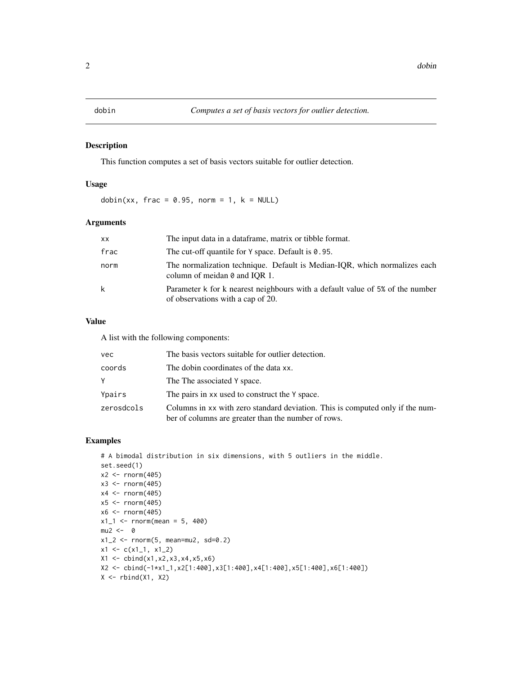#### <span id="page-1-0"></span>Description

This function computes a set of basis vectors suitable for outlier detection.

#### Usage

dobin(xx, frac =  $0.95$ , norm = 1,  $k = NULL$ )

#### Arguments

| XX.  | The input data in a dataframe, matrix or tibble format.                                                            |
|------|--------------------------------------------------------------------------------------------------------------------|
| frac | The cut-off quantile for $Y$ space. Default is $\theta$ . 95.                                                      |
| norm | The normalization technique. Default is Median-IOR, which normalizes each<br>column of meidan $\theta$ and IOR 1.  |
| k    | Parameter k for k nearest neighbours with a default value of 5% of the number<br>of observations with a cap of 20. |

#### Value

A list with the following components:

| vec        | The basis vectors suitable for outlier detection.                                                                                    |
|------------|--------------------------------------------------------------------------------------------------------------------------------------|
| coords     | The dobin coordinates of the data xx.                                                                                                |
| Υ          | The The associated Y space.                                                                                                          |
| Ypairs     | The pairs in xx used to construct the Y space.                                                                                       |
| zerosdcols | Columns in xx with zero standard deviation. This is computed only if the num-<br>ber of columns are greater than the number of rows. |

#### Examples

```
# A bimodal distribution in six dimensions, with 5 outliers in the middle.
set.seed(1)
x2 < - rnorm(405)
x3 < - rnorm(405)
x4 <- rnorm(405)
x5 < - rnorm(405)x6 < - rnorm(405)x1_1 <- rnorm(mean = 5, 400)
mu2 < - 0x1_2 < - rnorm(5, mean=mu2, sd=0.2)
x1 \leftarrow c(x1_1, x1_2)X1 \leftarrow \text{cbind}(x1, x2, x3, x4, x5, x6)X2 <- cbind(-1*x1_1,x2[1:400],x3[1:400],x4[1:400],x5[1:400],x6[1:400])
X \leftarrow \text{rbind}(X1, X2)
```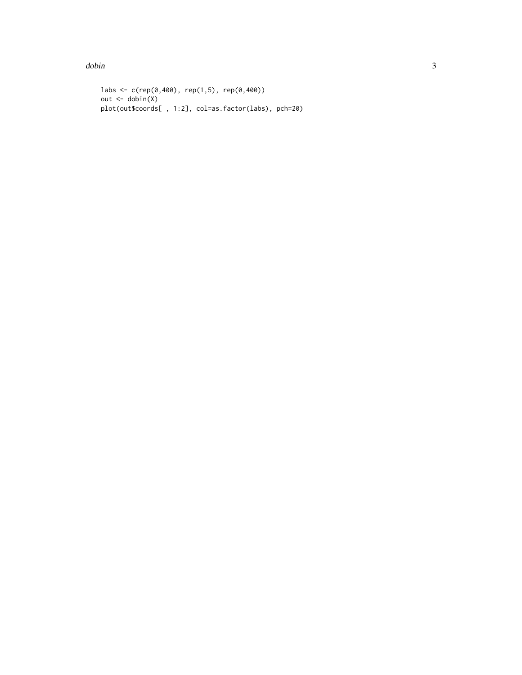$dobin$ 

```
labs <- c(rep(\theta, 400), rep(1,5), rep(\theta, 400))out \leftarrow dobin(X)plot(out$coords[ , 1:2], col=as.factor(labs), pch=20)
```